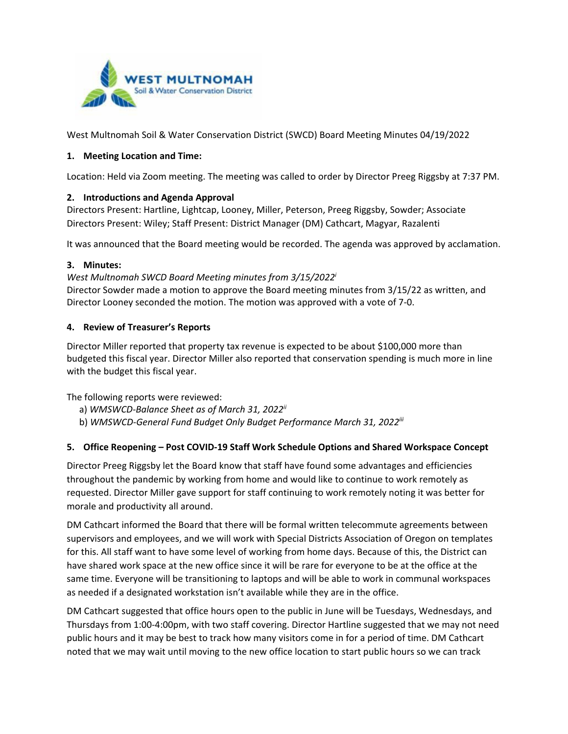

West Multnomah Soil & Water Conservation District (SWCD) Board Meeting Minutes 04/19/2022

## **1. Meeting Location and Time:**

Location: Held via Zoom meeting. The meeting was called to order by Director Preeg Riggsby at 7:37 PM.

# **2. Introductions and Agenda Approval**

Directors Present: Hartline, Lightcap, Looney, Miller, Peterson, Preeg Riggsby, Sowder; Associate Directors Present: Wiley; Staff Present: District Manager (DM) Cathcart, Magyar, Razalenti

It was announced that the Board meeting would be recorded. The agenda was approved by acclamation.

## **3. Minutes:**

*West Multnomah SWCD Board Meeting minutes from 3/15/2022i* Director Sowder made a motion to approve the Board meeting minutes from 3/15/22 as written, and Director Looney seconded the motion. The motion was approved with a vote of 7-0.

# **4. Review of Treasurer's Reports**

Director Miller reported that property tax revenue is expected to be about \$100,000 more than budgeted this fiscal year. Director Miller also reported that conservation spending is much more in line with the budget this fiscal year.

The following reports were reviewed:

- a) *WMSWCD-Balance Sheet as of March 31, 2022ii*
- b) *WMSWCD-General Fund Budget Only Budget Performance March 31, 2022iii*

## **5. Office Reopening – Post COVID-19 Staff Work Schedule Options and Shared Workspace Concept**

Director Preeg Riggsby let the Board know that staff have found some advantages and efficiencies throughout the pandemic by working from home and would like to continue to work remotely as requested. Director Miller gave support for staff continuing to work remotely noting it was better for morale and productivity all around.

DM Cathcart informed the Board that there will be formal written telecommute agreements between supervisors and employees, and we will work with Special Districts Association of Oregon on templates for this. All staff want to have some level of working from home days. Because of this, the District can have shared work space at the new office since it will be rare for everyone to be at the office at the same time. Everyone will be transitioning to laptops and will be able to work in communal workspaces as needed if a designated workstation isn't available while they are in the office.

DM Cathcart suggested that office hours open to the public in June will be Tuesdays, Wednesdays, and Thursdays from 1:00-4:00pm, with two staff covering. Director Hartline suggested that we may not need public hours and it may be best to track how many visitors come in for a period of time. DM Cathcart noted that we may wait until moving to the new office location to start public hours so we can track